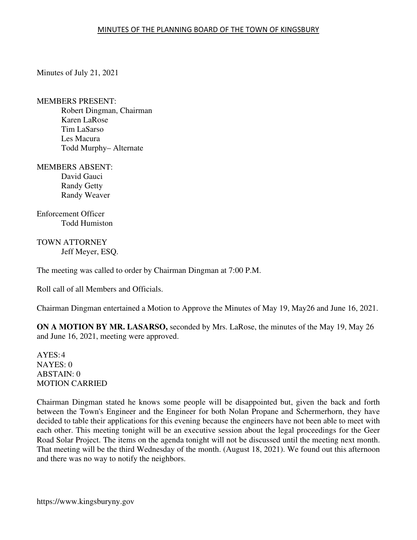## MINUTES OF THE PLANNING BOARD OF THE TOWN OF KINGSBURY

Minutes of July 21, 2021

MEMBERS PRESENT: Robert Dingman, Chairman Karen LaRose Tim LaSarso Les Macura Todd Murphy– Alternate

MEMBERS ABSENT: David Gauci Randy Getty Randy Weaver

Enforcement Officer Todd Humiston

TOWN ATTORNEY Jeff Meyer, ESQ.

The meeting was called to order by Chairman Dingman at 7:00 P.M.

Roll call of all Members and Officials.

Chairman Dingman entertained a Motion to Approve the Minutes of May 19, May26 and June 16, 2021.

**ON A MOTION BY MR. LASARSO,** seconded by Mrs. LaRose, the minutes of the May 19, May 26 and June 16, 2021, meeting were approved.

AYES: 4 NAYES: 0 ABSTAIN: 0 MOTION CARRIED

Chairman Dingman stated he knows some people will be disappointed but, given the back and forth between the Town's Engineer and the Engineer for both Nolan Propane and Schermerhorn, they have decided to table their applications for this evening because the engineers have not been able to meet with each other. This meeting tonight will be an executive session about the legal proceedings for the Geer Road Solar Project. The items on the agenda tonight will not be discussed until the meeting next month. That meeting will be the third Wednesday of the month. (August 18, 2021). We found out this afternoon and there was no way to notify the neighbors.

https://www.kingsburyny.gov